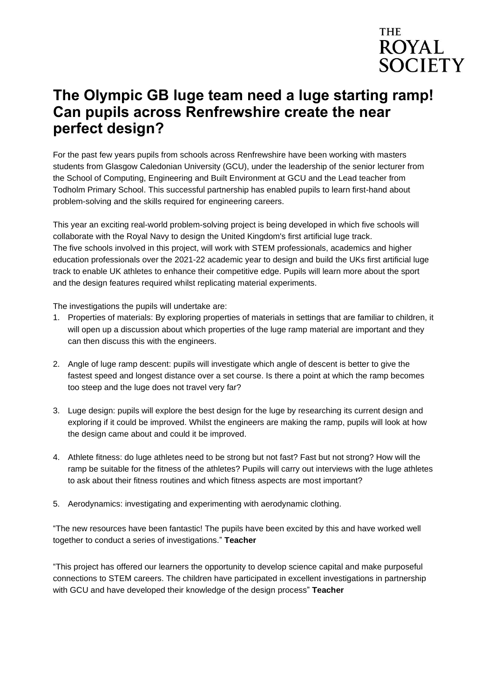

## **The Olympic GB luge team need a luge starting ramp! Can pupils across Renfrewshire create the near perfect design?**

For the past few years pupils from schools across Renfrewshire have been working with masters students from Glasgow Caledonian University (GCU), under the leadership of the senior lecturer from the School of Computing, Engineering and Built Environment at GCU and the Lead teacher from Todholm Primary School. This successful partnership has enabled pupils to learn first-hand about problem-solving and the skills required for engineering careers.

This year an exciting real-world problem-solving project is being developed in which five schools will collaborate with the Royal Navy to design the United Kingdom's first artificial luge track. The five schools involved in this project, will work with STEM professionals, academics and higher education professionals over the 2021-22 academic year to design and build the UKs first artificial luge track to enable UK athletes to enhance their competitive edge. Pupils will learn more about the sport and the design features required whilst replicating material experiments.

The investigations the pupils will undertake are:

- 1. Properties of materials: By exploring properties of materials in settings that are familiar to children, it will open up a discussion about which properties of the luge ramp material are important and they can then discuss this with the engineers.
- 2. Angle of luge ramp descent: pupils will investigate which angle of descent is better to give the fastest speed and longest distance over a set course. Is there a point at which the ramp becomes too steep and the luge does not travel very far?
- 3. Luge design: pupils will explore the best design for the luge by researching its current design and exploring if it could be improved. Whilst the engineers are making the ramp, pupils will look at how the design came about and could it be improved.
- 4. Athlete fitness: do luge athletes need to be strong but not fast? Fast but not strong? How will the ramp be suitable for the fitness of the athletes? Pupils will carry out interviews with the luge athletes to ask about their fitness routines and which fitness aspects are most important?
- 5. Aerodynamics: investigating and experimenting with aerodynamic clothing.

"The new resources have been fantastic! The pupils have been excited by this and have worked well together to conduct a series of investigations." **Teacher**

"This project has offered our learners the opportunity to develop science capital and make purposeful connections to STEM careers. The children have participated in excellent investigations in partnership with GCU and have developed their knowledge of the design process" **Teacher**